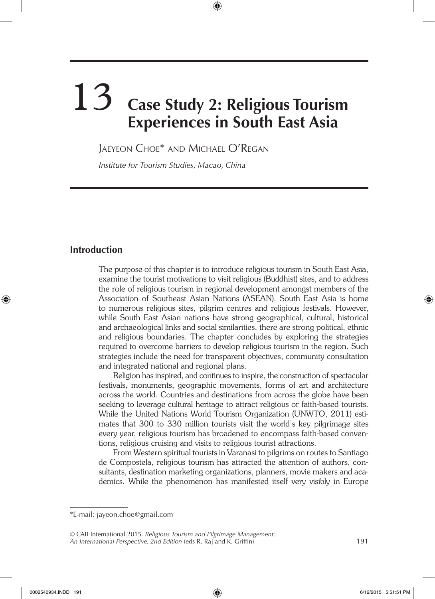# 13 **Case Study 2: Religious Tourism Experiences in South East Asia**

◉

Jaeyeon Choe\* and Michael O'Regan

*Institute for Tourism Studies, Macao, China*

## **Introduction**

◈

The purpose of this chapter is to introduce religious tourism in South East Asia, examine the tourist motivations to visit religious (Buddhist) sites, and to address the role of religious tourism in regional development amongst members of the Association of Southeast Asian Nations (ASEAN). South East Asia is home to numerous religious sites, pilgrim centres and religious festivals. However, while South East Asian nations have strong geographical, cultural, historical and archaeological links and social similarities, there are strong political, ethnic and religious boundaries. The chapter concludes by exploring the strategies required to overcome barriers to develop religious tourism in the region. Such strategies include the need for transparent objectives, community consultation and integrated national and regional plans.

Religion has inspired, and continues to inspire, the construction of spectacular festivals, monuments, geographic movements, forms of art and architecture across the world. Countries and destinations from across the globe have been seeking to leverage cultural heritage to attract religious or faith-based tourists. While the United Nations World Tourism Organization (UNWTO, 2011) estimates that 300 to 330 million tourists visit the world's key pilgrimage sites every year, religious tourism has broadened to encompass faith-based conventions, religious cruising and visits to religious tourist attractions.

From Western spiritual tourists in Varanasi to pilgrims on routes to Santiago de Compostela, religious tourism has attracted the attention of authors, consultants, destination marketing organizations, planners, movie makers and academics. While the phenomenon has manifested itself very visibly in Europe

<sup>\*</sup>E-mail: jayeon.choe@gmail.com

<sup>©</sup> CAB International 2015. *Religious Tourism and Pilgrimage Management: An International Perspective, 2nd Edition* (eds R. Raj and K. Griffin) 191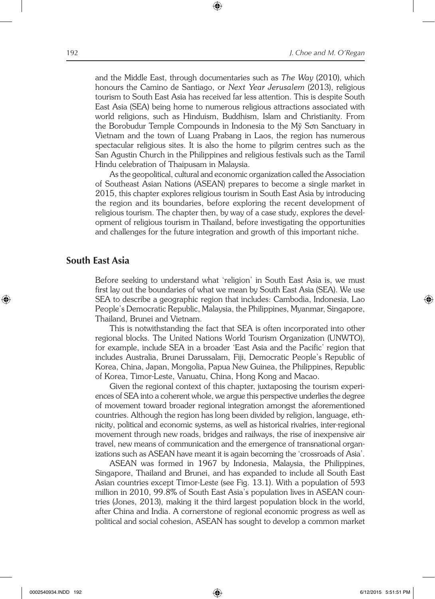and the Middle East, through documentaries such as *The Way* (2010), which honours the Camino de Santiago, or *Next Year Jerusalem* (2013), religious tourism to South East Asia has received far less attention. This is despite South East Asia (SEA) being home to numerous religious attractions associated with world religions, such as Hinduism, Buddhism, Islam and Christianity. From the Borobudur Temple Compounds in Indonesia to the Mỹ Sơn Sanctuary in Vietnam and the town of Luang Prabang in Laos, the region has numerous spectacular religious sites. It is also the home to pilgrim centres such as the San Agustin Church in the Philippines and religious festivals such as the Tamil Hindu celebration of Thaipusam in Malaysia.

⊕

As the geopolitical, cultural and economic organization called the Association of Southeast Asian Nations (ASEAN) prepares to become a single market in 2015, this chapter explores religious tourism in South East Asia by introducing the region and its boundaries, before exploring the recent development of religious tourism. The chapter then, by way of a case study, explores the development of religious tourism in Thailand, before investigating the opportunities and challenges for the future integration and growth of this important niche.

#### **South East Asia**

⊕

Before seeking to understand what 'religion' in South East Asia is, we must first lay out the boundaries of what we mean by South East Asia (SEA). We use SEA to describe a geographic region that includes: Cambodia, Indonesia, Lao People's Democratic Republic, Malaysia, the Philippines, Myanmar, Singapore, Thailand, Brunei and Vietnam.

This is notwithstanding the fact that SEA is often incorporated into other regional blocks. The United Nations World Tourism Organization (UNWTO), for example, include SEA in a broader 'East Asia and the Pacific' region that includes Australia, Brunei Darussalam, Fiji, Democratic People's Republic of Korea, China, Japan, Mongolia, Papua New Guinea, the Philippines, Republic of Korea, Timor-Leste, Vanuatu, China, Hong Kong and Macao.

Given the regional context of this chapter, juxtaposing the tourism experiences of SEA into a coherent whole, we argue this perspective underlies the degree of movement toward broader regional integration amongst the aforementioned countries. Although the region has long been divided by religion, language, ethnicity, political and economic systems, as well as historical rivalries, inter-regional movement through new roads, bridges and railways, the rise of inexpensive air travel, new means of communication and the emergence of transnational organizations such as ASEAN have meant it is again becoming the 'crossroads of Asia'.

ASEAN was formed in 1967 by Indonesia, Malaysia, the Philippines, Singapore, Thailand and Brunei, and has expanded to include all South East Asian countries except Timor-Leste (see Fig. 13.1). With a population of 593 million in 2010, 99.8% of South East Asia's population lives in ASEAN countries (Jones, 2013), making it the third largest population block in the world, after China and India. A cornerstone of regional economic progress as well as political and social cohesion, ASEAN has sought to develop a common market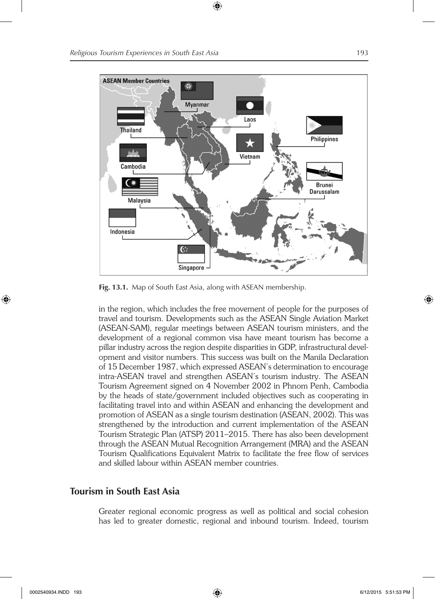

 $\bigcirc$ 

**Fig. 13.1.** Map of South East Asia, along with ASEAN membership.

in the region, which includes the free movement of people for the purposes of travel and tourism. Developments such as the ASEAN Single Aviation Market (ASEAN-SAM), regular meetings between ASEAN tourism ministers, and the development of a regional common visa have meant tourism has become a pillar industry across the region despite disparities in GDP, infrastructural development and visitor numbers. This success was built on the Manila Declaration of 15 December 1987, which expressed ASEAN's determination to encourage intra-ASEAN travel and strengthen ASEAN's tourism industry. The ASEAN Tourism Agreement signed on 4 November 2002 in Phnom Penh, Cambodia by the heads of state/government included objectives such as cooperating in facilitating travel into and within ASEAN and enhancing the development and promotion of ASEAN as a single tourism destination (ASEAN, 2002). This was strengthened by the introduction and current implementation of the ASEAN Tourism Strategic Plan (ATSP) 2011–2015. There has also been development through the ASEAN Mutual Recognition Arrangement (MRA) and the ASEAN Tourism Qualifications Equivalent Matrix to facilitate the free flow of services and skilled labour within ASEAN member countries.

### **Tourism in South East Asia**

Greater regional economic progress as well as political and social cohesion has led to greater domestic, regional and inbound tourism. Indeed, tourism

⊕

◈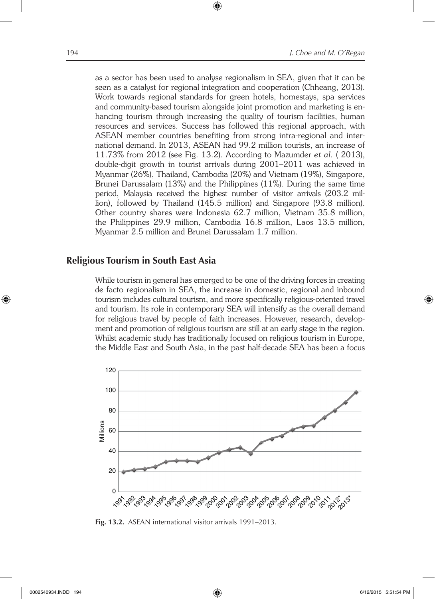as a sector has been used to analyse regionalism in SEA, given that it can be seen as a catalyst for regional integration and cooperation (Chheang, 2013). Work towards regional standards for green hotels, homestays, spa services and community-based tourism alongside joint promotion and marketing is enhancing tourism through increasing the quality of tourism facilities, human resources and services. Success has followed this regional approach, with ASEAN member countries benefiting from strong intra-regional and international demand. In 2013, ASEAN had 99.2 million tourists, an increase of 11.73% from 2012 (see Fig. 13.2). According to Mazumder *et al.* ( 2013), double-digit growth in tourist arrivals during 2001–2011 was achieved in Myanmar (26%), Thailand, Cambodia (20%) and Vietnam (19%), Singapore, Brunei Darussalam (13%) and the Philippines (11%). During the same time period, Malaysia received the highest number of visitor arrivals (203.2 million), followed by Thailand (145.5 million) and Singapore (93.8 million). Other country shares were Indonesia 62.7 million, Vietnam 35.8 million, the Philippines 29.9 million, Cambodia 16.8 million, Laos 13.5 million, Myanmar 2.5 million and Brunei Darussalam 1.7 million.

 $\bigoplus$ 

#### **Religious Tourism in South East Asia**

While tourism in general has emerged to be one of the driving forces in creating de facto regionalism in SEA, the increase in domestic, regional and inbound tourism includes cultural tourism, and more specifically religious-oriented travel and tourism. Its role in contemporary SEA will intensify as the overall demand for religious travel by people of faith increases. However, research, development and promotion of religious tourism are still at an early stage in the region. Whilst academic study has traditionally focused on religious tourism in Europe, the Middle East and South Asia, in the past half-decade SEA has been a focus



**Fig. 13.2.** ASEAN international visitor arrivals 1991–2013.

⊕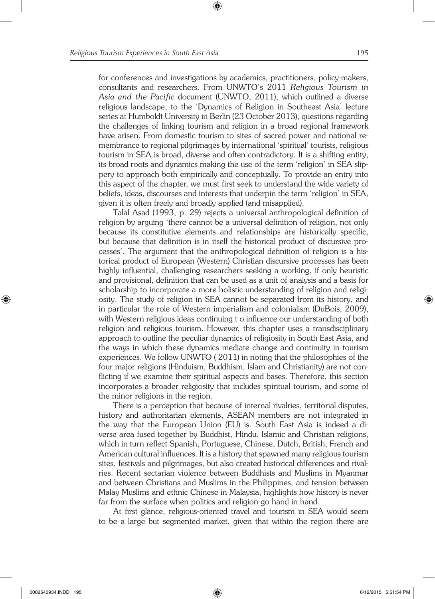for conferences and investigations by academics, practitioners, policy-makers, consultants and researchers. From UNWTO's 2011 *Religious Tourism in Asia and the Pacific* document (UNWTO, 2011), which outlined a diverse religious landscape, to the 'Dynamics of Religion in Southeast Asia' lecture series at Humboldt University in Berlin (23 October 2013), questions regarding the challenges of linking tourism and religion in a broad regional framework have arisen. From domestic tourism to sites of sacred power and national remembrance to regional pilgrimages by international 'spiritual' tourists, religious tourism in SEA is broad, diverse and often contradictory. It is a shifting entity, its broad roots and dynamics making the use of the term 'religion' in SEA slippery to approach both empirically and conceptually. To provide an entry into this aspect of the chapter, we must first seek to understand the wide variety of beliefs, ideas, discourses and interests that underpin the term 'religion' in SEA, given it is often freely and broadly applied (and misapplied).

⊕

Talal Asad (1993, p. 29) rejects a universal anthropological definition of religion by arguing 'there cannot be a universal definition of religion, not only because its constitutive elements and relationships are historically specific, but because that definition is in itself the historical product of discursive processes'. The argument that the anthropological definition of religion is a historical product of European (Western) Christian discursive processes has been highly influential, challenging researchers seeking a working, if only heuristic and provisional, definition that can be used as a unit of analysis and a basis for scholarship to incorporate a more holistic understanding of religion and religiosity. The study of religion in SEA cannot be separated from its history, and in particular the role of Western imperialism and colonialism (DuBois, 2009), with Western religious ideas continuing t o influence our understanding of both religion and religious tourism. However, this chapter uses a transdisciplinary approach to outline the peculiar dynamics of religiosity in South East Asia, and the ways in which these dynamics mediate change and continuity in tourism experiences. We follow UNWTO ( 2011) in noting that the philosophies of the four major religions (Hinduism, Buddhism, Islam and Christianity) are not conflicting if we examine their spiritual aspects and bases. Therefore, this section incorporates a broader religiosity that includes spiritual tourism, and some of the minor religions in the region.

There is a perception that because of internal rivalries, territorial disputes, history and authoritarian elements, ASEAN members are not integrated in the way that the European Union (EU) is. South East Asia is indeed a diverse area fused together by Buddhist, Hindu, Islamic and Christian religions, which in turn reflect Spanish, Portuguese, Chinese, Dutch, British, French and American cultural influences. It is a history that spawned many religious tourism sites, festivals and pilgrimages, but also created historical differences and rivalries. Recent sectarian violence between Buddhists and Muslims in Myanmar and between Christians and Muslims in the Philippines, and tension between Malay Muslims and ethnic Chinese in Malaysia, highlights how history is never far from the surface when politics and religion go hand in hand.

At first glance, religious-oriented travel and tourism in SEA would seem to be a large but segmented market, given that within the region there are

⊕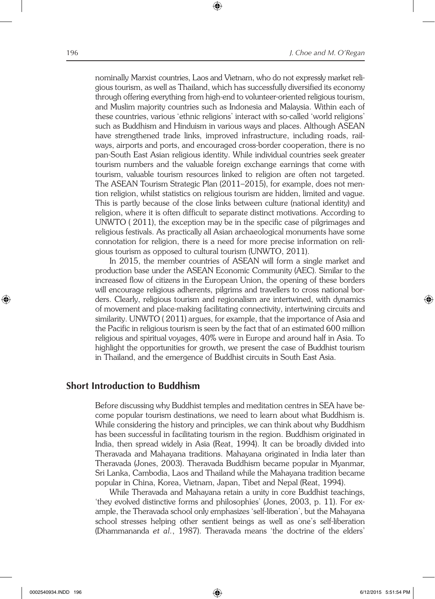nominally Marxist countries, Laos and Vietnam, who do not expressly market religious tourism, as well as Thailand, which has successfully diversified its economy through offering everything from high-end to volunteer-oriented religious tourism, and Muslim majority countries such as Indonesia and Malaysia. Within each of these countries, various 'ethnic religions' interact with so-called 'world religions' such as Buddhism and Hinduism in various ways and places. Although ASEAN have strengthened trade links, improved infrastructure, including roads, railways, airports and ports, and encouraged cross-border cooperation, there is no pan-South East Asian religious identity. While individual countries seek greater tourism numbers and the valuable foreign exchange earnings that come with tourism, valuable tourism resources linked to religion are often not targeted. The ASEAN Tourism Strategic Plan (2011–2015), for example, does not mention religion, whilst statistics on religious tourism are hidden, limited and vague. This is partly because of the close links between culture (national identity) and religion, where it is often difficult to separate distinct motivations. According to UNWTO ( 2011), the exception may be in the specific case of pilgrimages and religious festivals. As practically all Asian archaeological monuments have some connotation for religion, there is a need for more precise information on religious tourism as opposed to cultural tourism (UNWTO, 2011).

⊕

In 2015, the member countries of ASEAN will form a single market and production base under the ASEAN Economic Community (AEC). Similar to the increased flow of citizens in the European Union, the opening of these borders will encourage religious adherents, pilgrims and travellers to cross national borders. Clearly, religious tourism and regionalism are intertwined, with dynamics of movement and place-making facilitating connectivity, intertwining circuits and similarity. UNWTO ( 2011) argues, for example, that the importance of Asia and the Pacific in religious tourism is seen by the fact that of an estimated 600 million religious and spiritual voyages, 40% were in Europe and around half in Asia. To highlight the opportunities for growth, we present the case of Buddhist tourism in Thailand, and the emergence of Buddhist circuits in South East Asia.

#### **Short Introduction to Buddhism**

Before discussing why Buddhist temples and meditation centres in SEA have become popular tourism destinations, we need to learn about what Buddhism is. While considering the history and principles, we can think about why Buddhism has been successful in facilitating tourism in the region. Buddhism originated in India, then spread widely in Asia (Reat, 1994). It can be broadly divided into Theravada and Mahayana traditions. Mahayana originated in India later than Theravada (Jones, 2003). Theravada Buddhism became popular in Myanmar, Sri Lanka, Cambodia, Laos and Thailand while the Mahayana tradition became popular in China, Korea, Vietnam, Japan, Tibet and Nepal (Reat, 1994).

While Theravada and Mahayana retain a unity in core Buddhist teachings, 'they evolved distinctive forms and philosophies' (Jones, 2003, p. 11). For example, the Theravada school only emphasizes 'self-liberation', but the Mahayana school stresses helping other sentient beings as well as one's self-liberation (Dhammananda *et al.*, 1987). Theravada means 'the doctrine of the elders'

◈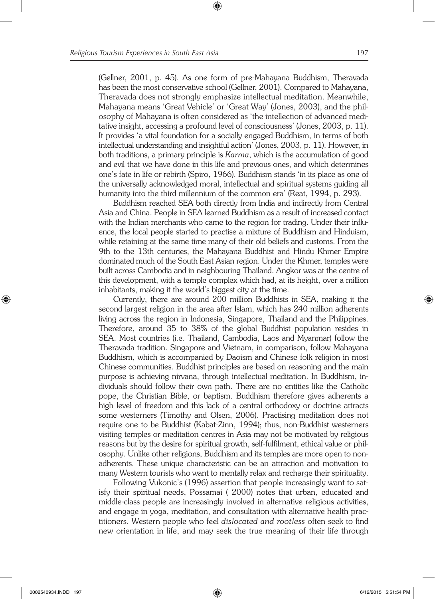(Gellner, 2001, p. 45). As one form of pre-Mahayana Buddhism, Theravada has been the most conservative school (Gellner, 2001). Compared to Mahayana, Theravada does not strongly emphasize intellectual meditation. Meanwhile, Mahayana means 'Great Vehicle' or 'Great Way' (Jones, 2003), and the philosophy of Mahayana is often considered as 'the intellection of advanced meditative insight, accessing a profound level of consciousness' (Jones, 2003, p. 11). It provides 'a vital foundation for a socially engaged Buddhism, in terms of both intellectual understanding and insightful action' (Jones, 2003, p. 11). However, in both traditions, a primary principle is *Karma*, which is the accumulation of good and evil that we have done in this life and previous ones, and which determines one's fate in life or rebirth (Spiro, 1966). Buddhism stands 'in its place as one of the universally acknowledged moral, intellectual and spiritual systems guiding all humanity into the third millennium of the common era' (Reat, 1994, p. 293).

 $\bigoplus$ 

Buddhism reached SEA both directly from India and indirectly from Central Asia and China. People in SEA learned Buddhism as a result of increased contact with the Indian merchants who came to the region for trading. Under their influence, the local people started to practise a mixture of Buddhism and Hinduism, while retaining at the same time many of their old beliefs and customs. From the 9th to the 13th centuries, the Mahayana Buddhist and Hindu Khmer Empire dominated much of the South East Asian region. Under the Khmer, temples were built across Cambodia and in neighbouring Thailand. Angkor was at the centre of this development, with a temple complex which had, at its height, over a million inhabitants, making it the world's biggest city at the time.

Currently, there are around 200 million Buddhists in SEA, making it the second largest religion in the area after Islam, which has 240 million adherents living across the region in Indonesia, Singapore, Thailand and the Philippines. Therefore, around 35 to 38% of the global Buddhist population resides in SEA. Most countries (i.e. Thailand, Cambodia, Laos and Myanmar) follow the Theravada tradition. Singapore and Vietnam, in comparison, follow Mahayana Buddhism, which is accompanied by Daoism and Chinese folk religion in most Chinese communities. Buddhist principles are based on reasoning and the main purpose is achieving nirvana, through intellectual meditation. In Buddhism, individuals should follow their own path. There are no entities like the Catholic pope, the Christian Bible, or baptism. Buddhism therefore gives adherents a high level of freedom and this lack of a central orthodoxy or doctrine attracts some westerners (Timothy and Olsen, 2006). Practising meditation does not require one to be Buddhist (Kabat-Zinn, 1994); thus, non-Buddhist westerners visiting temples or meditation centres in Asia may not be motivated by religious reasons but by the desire for spiritual growth, self-fulfilment, ethical value or philosophy. Unlike other religions, Buddhism and its temples are more open to nonadherents. These unique characteristic can be an attraction and motivation to many Western tourists who want to mentally relax and recharge their spirituality.

Following Vukonic's (1996) assertion that people increasingly want to satisfy their spiritual needs, Possamai ( 2000) notes that urban, educated and middle-class people are increasingly involved in alternative religious activities, and engage in yoga, meditation, and consultation with alternative health practitioners. Western people who feel *dislocated and rootless* often seek to find new orientation in life, and may seek the true meaning of their life through

⊕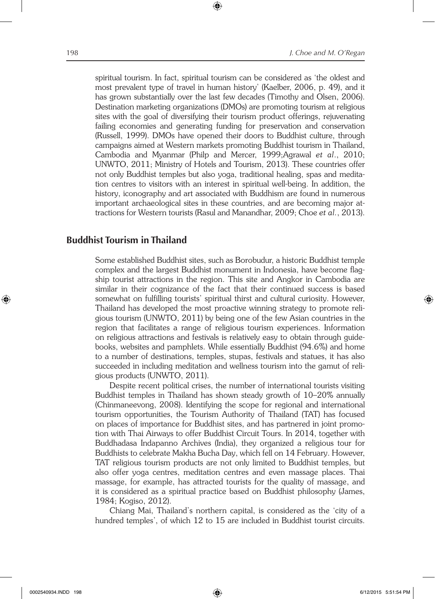spiritual tourism. In fact, spiritual tourism can be considered as 'the oldest and most prevalent type of travel in human history' (Kaelber, 2006, p. 49), and it has grown substantially over the last few decades (Timothy and Olsen, 2006). Destination marketing organizations (DMOs) are promoting tourism at religious sites with the goal of diversifying their tourism product offerings, rejuvenating failing economies and generating funding for preservation and conservation (Russell, 1999). DMOs have opened their doors to Buddhist culture, through campaigns aimed at Western markets promoting Buddhist tourism in Thailand, Cambodia and Myanmar (Philp and Mercer, 1999;Agrawal *et al*., 2010; UNWTO, 2011; Ministry of Hotels and Tourism, 2013). These countries offer not only Buddhist temples but also yoga, traditional healing, spas and meditation centres to visitors with an interest in spiritual well-being. In addition, the history, iconography and art associated with Buddhism are found in numerous important archaeological sites in these countries, and are becoming major attractions for Western tourists (Rasul and Manandhar, 2009; Choe *et al.*, 2013).

⊕

### **Buddhist Tourism in Thailand**

Some established Buddhist sites, such as Borobudur, a historic Buddhist temple complex and the largest Buddhist monument in Indonesia, have become flagship tourist attractions in the region. This site and Angkor in Cambodia are similar in their cognizance of the fact that their continued success is based somewhat on fulfilling tourists' spiritual thirst and cultural curiosity. However, Thailand has developed the most proactive winning strategy to promote religious tourism (UNWTO, 2011) by being one of the few Asian countries in the region that facilitates a range of religious tourism experiences. Information on religious attractions and festivals is relatively easy to obtain through guidebooks, websites and pamphlets. While essentially Buddhist (94.6%) and home to a number of destinations, temples, stupas, festivals and statues, it has also succeeded in including meditation and wellness tourism into the gamut of religious products (UNWTO, 2011).

Despite recent political crises, the number of international tourists visiting Buddhist temples in Thailand has shown steady growth of 10–20% annually (Chinmaneevong, 2008). Identifying the scope for regional and international tourism opportunities, the Tourism Authority of Thailand (TAT) has focused on places of importance for Buddhist sites, and has partnered in joint promotion with Thai Airways to offer Buddhist Circuit Tours. In 2014, together with Buddhadasa Indapanno Archives (India), they organized a religious tour for Buddhists to celebrate Makha Bucha Day, which fell on 14 February. However, TAT religious tourism products are not only limited to Buddhist temples, but also offer yoga centres, meditation centres and even massage places. Thai massage, for example, has attracted tourists for the quality of massage, and it is considered as a spiritual practice based on Buddhist philosophy (James, 1984; Kogiso, 2012).

Chiang Mai, Thailand's northern capital, is considered as the 'city of a hundred temples', of which 12 to 15 are included in Buddhist tourist circuits.

⊕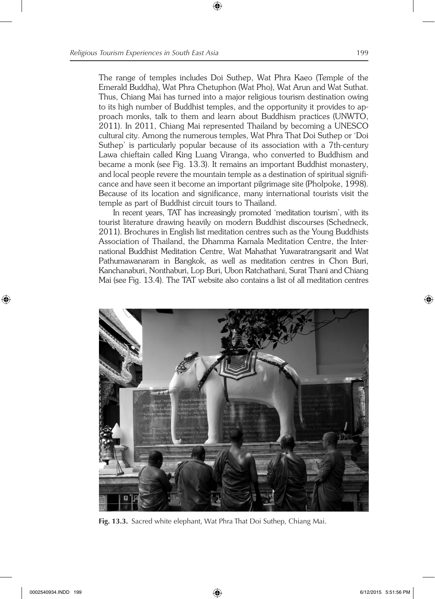The range of temples includes Doi Suthep, Wat Phra Kaeo (Temple of the Emerald Buddha), Wat Phra Chetuphon (Wat Pho), Wat Arun and Wat Suthat. Thus, Chiang Mai has turned into a major religious tourism destination owing to its high number of Buddhist temples, and the opportunity it provides to approach monks, talk to them and learn about Buddhism practices (UNWTO, 2011). In 2011, Chiang Mai represented Thailand by becoming a UNESCO cultural city. Among the numerous temples, Wat Phra That Doi Suthep or 'Doi Suthep' is particularly popular because of its association with a 7th-century Lawa chieftain called King Luang Viranga, who converted to Buddhism and became a monk (see Fig. 13.3). It remains an important Buddhist monastery, and local people revere the mountain temple as a destination of spiritual significance and have seen it become an important pilgrimage site (Pholpoke, 1998). Because of its location and significance, many international tourists visit the temple as part of Buddhist circuit tours to Thailand.

⊕

In recent years, TAT has increasingly promoted 'meditation tourism', with its tourist literature drawing heavily on modern Buddhist discourses (Schedneck, 2011). Brochures in English list meditation centres such as the Young Buddhists Association of Thailand, the Dhamma Kamala Meditation Centre, the International Buddhist Meditation Centre, Wat Mahathat Yuwaratrangsarit and Wat Pathumawanaram in Bangkok, as well as meditation centres in Chon Buri, Kanchanaburi, Nonthaburi, Lop Buri, Ubon Ratchathani, Surat Thani and Chiang Mai (see Fig. 13.4). The TAT website also contains a list of all meditation centres



**Fig. 13.3.** Sacred white elephant, Wat Phra That Doi Suthep, Chiang Mai.

⊕

◈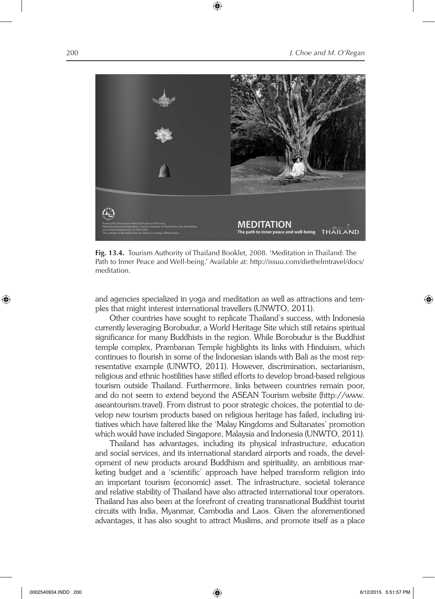

⊕

**Fig. 13.4.** Tourism Authority of Thailand Booklet, 2008. 'Meditation in Thailand: The Path to Inner Peace and Well-being.' Available at: http://issuu.com/diethelmtravel/docs/ meditation.

and agencies specialized in yoga and meditation as well as attractions and temples that might interest international travellers (UNWTO, 2011).

Other countries have sought to replicate Thailand's success, with Indonesia currently leveraging Borobudur, a World Heritage Site which still retains spiritual significance for many Buddhists in the region. While Borobudur is the Buddhist temple complex, Prambanan Temple highlights its links with Hinduism, which continues to flourish in some of the Indonesian islands with Bali as the most representative example (UNWTO, 2011). However, discrimination, sectarianism, religious and ethnic hostilities have stifled efforts to develop broad-based religious tourism outside Thailand. Furthermore, links between countries remain poor, and do not seem to extend beyond the ASEAN Tourism website (http://www. aseantourism.travel). From distrust to poor strategic choices, the potential to develop new tourism products based on religious heritage has failed, including initiatives which have faltered like the 'Malay Kingdoms and Sultanates' promotion which would have included Singapore, Malaysia and Indonesia (UNWTO, 2011).

Thailand has advantages, including its physical infrastructure, education and social services, and its international standard airports and roads, the development of new products around Buddhism and spirituality, an ambitious marketing budget and a 'scientific' approach have helped transform religion into an important tourism (economic) asset. The infrastructure, societal tolerance and relative stability of Thailand have also attracted international tour operators. Thailand has also been at the forefront of creating transnational Buddhist tourist circuits with India, Myanmar, Cambodia and Laos. Given the aforementioned advantages, it has also sought to attract Muslims, and promote itself as a place

⊕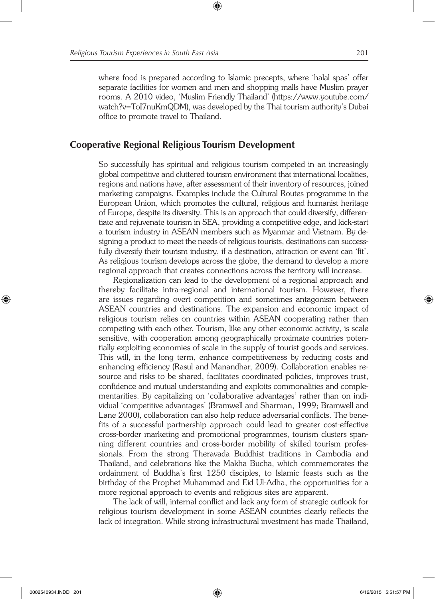where food is prepared according to Islamic precepts, where 'halal spas' offer separate facilities for women and men and shopping malls have Muslim prayer rooms. A 2010 video, 'Muslim Friendly Thailand' (https://www.youtube.com/ watch?v=ToI7nuKmQDM), was developed by the Thai tourism authority's Dubai office to promote travel to Thailand.

 $\bigcirc$ 

## **Cooperative Regional Religious Tourism Development**

So successfully has spiritual and religious tourism competed in an increasingly global competitive and cluttered tourism environment that international localities, regions and nations have, after assessment of their inventory of resources, joined marketing campaigns. Examples include the Cultural Routes programme in the European Union, which promotes the cultural, religious and humanist heritage of Europe, despite its diversity. This is an approach that could diversify, differentiate and rejuvenate tourism in SEA, providing a competitive edge, and kick-start a tourism industry in ASEAN members such as Myanmar and Vietnam. By designing a product to meet the needs of religious tourists, destinations can successfully diversify their tourism industry, if a destination, attraction or event can 'fit'. As religious tourism develops across the globe, the demand to develop a more regional approach that creates connections across the territory will increase.

Regionalization can lead to the development of a regional approach and thereby facilitate intra-regional and international tourism. However, there are issues regarding overt competition and sometimes antagonism between ASEAN countries and destinations. The expansion and economic impact of religious tourism relies on countries within ASEAN cooperating rather than competing with each other. Tourism, like any other economic activity, is scale sensitive, with cooperation among geographically proximate countries potentially exploiting economies of scale in the supply of tourist goods and services. This will, in the long term, enhance competitiveness by reducing costs and enhancing efficiency (Rasul and Manandhar, 2009). Collaboration enables resource and risks to be shared, facilitates coordinated policies, improves trust, confidence and mutual understanding and exploits commonalities and complementarities. By capitalizing on 'collaborative advantages' rather than on individual 'competitive advantages' (Bramwell and Sharman, 1999; Bramwell and Lane 2000), collaboration can also help reduce adversarial conflicts. The benefits of a successful partnership approach could lead to greater cost-effective cross-border marketing and promotional programmes, tourism clusters spanning different countries and cross-border mobility of skilled tourism professionals. From the strong Theravada Buddhist traditions in Cambodia and Thailand, and celebrations like the Makha Bucha, which commemorates the ordainment of Buddha's first 1250 disciples, to Islamic feasts such as the birthday of the Prophet Muhammad and Eid Ul-Adha, the opportunities for a more regional approach to events and religious sites are apparent.

The lack of will, internal conflict and lack any form of strategic outlook for religious tourism development in some ASEAN countries clearly reflects the lack of integration. While strong infrastructural investment has made Thailand,

◈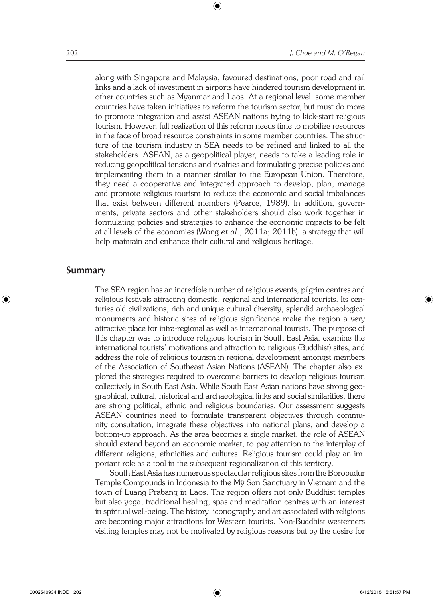along with Singapore and Malaysia, favoured destinations, poor road and rail links and a lack of investment in airports have hindered tourism development in other countries such as Myanmar and Laos. At a regional level, some member countries have taken initiatives to reform the tourism sector, but must do more to promote integration and assist ASEAN nations trying to kick-start religious tourism. However, full realization of this reform needs time to mobilize resources in the face of broad resource constraints in some member countries. The structure of the tourism industry in SEA needs to be refined and linked to all the stakeholders. ASEAN, as a geopolitical player, needs to take a leading role in reducing geopolitical tensions and rivalries and formulating precise policies and implementing them in a manner similar to the European Union. Therefore, they need a cooperative and integrated approach to develop, plan, manage and promote religious tourism to reduce the economic and social imbalances that exist between different members (Pearce, 1989). In addition, governments, private sectors and other stakeholders should also work together in formulating policies and strategies to enhance the economic impacts to be felt at all levels of the economies (Wong *et al*., 2011a; 2011b), a strategy that will help maintain and enhance their cultural and religious heritage.

⊕

#### **Summary**

◈

The SEA region has an incredible number of religious events, pilgrim centres and religious festivals attracting domestic, regional and international tourists. Its centuries-old civilizations, rich and unique cultural diversity, splendid archaeological monuments and historic sites of religious significance make the region a very attractive place for intra-regional as well as international tourists. The purpose of this chapter was to introduce religious tourism in South East Asia, examine the international tourists' motivations and attraction to religious (Buddhist) sites, and address the role of religious tourism in regional development amongst members of the Association of Southeast Asian Nations (ASEAN). The chapter also explored the strategies required to overcome barriers to develop religious tourism collectively in South East Asia. While South East Asian nations have strong geographical, cultural, historical and archaeological links and social similarities, there are strong political, ethnic and religious boundaries. Our assessment suggests ASEAN countries need to formulate transparent objectives through community consultation, integrate these objectives into national plans, and develop a bottom-up approach. As the area becomes a single market, the role of ASEAN should extend beyond an economic market, to pay attention to the interplay of different religions, ethnicities and cultures. Religious tourism could play an important role as a tool in the subsequent regionalization of this territory.

South East Asia has numerous spectacular religious sites from the Borobudur Temple Compounds in Indonesia to the Mỹ Sơn Sanctuary in Vietnam and the town of Luang Prabang in Laos. The region offers not only Buddhist temples but also yoga, traditional healing, spas and meditation centres with an interest in spiritual well-being. The history, iconography and art associated with religions are becoming major attractions for Western tourists. Non-Buddhist westerners visiting temples may not be motivated by religious reasons but by the desire for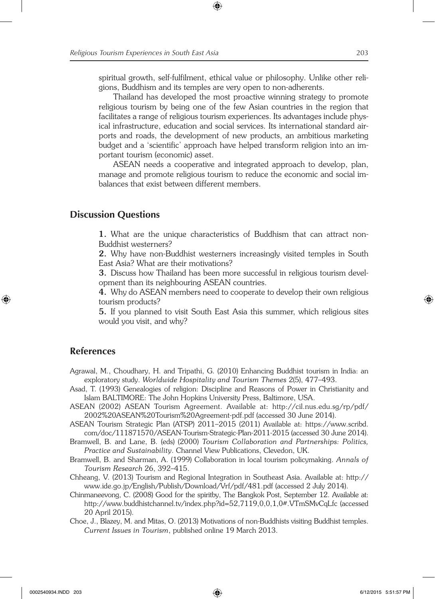spiritual growth, self-fulfilment, ethical value or philosophy. Unlike other religions, Buddhism and its temples are very open to non-adherents.

⊕

Thailand has developed the most proactive winning strategy to promote religious tourism by being one of the few Asian countries in the region that facilitates a range of religious tourism experiences. Its advantages include physical infrastructure, education and social services. Its international standard airports and roads, the development of new products, an ambitious marketing budget and a 'scientific' approach have helped transform religion into an important tourism (economic) asset.

ASEAN needs a cooperative and integrated approach to develop, plan, manage and promote religious tourism to reduce the economic and social imbalances that exist between different members.

## **Discussion Questions**

1. What are the unique characteristics of Buddhism that can attract non-Buddhist westerners?

2. Why have non-Buddhist westerners increasingly visited temples in South East Asia? What are their motivations?

3. Discuss how Thailand has been more successful in religious tourism development than its neighbouring ASEAN countries.

4. Why do ASEAN members need to cooperate to develop their own religious tourism products?

5. If you planned to visit South East Asia this summer, which religious sites would you visit, and why?

#### **References**

⊕

Agrawal, M., Choudhary, H. and Tripathi, G. (2010) Enhancing Buddhist tourism in India: an exploratory study. *Worldwide Hospitality and Tourism Themes* 2(5), 477–493.

- Asad, T. (1993) Genealogies of religion: Discipline and Reasons of Power in Christianity and Islam BALTIMORE: The John Hopkins University Press, Baltimore, USA.
- ASEAN (2002) ASEAN Tourism Agreement. Available at: http://cil.nus.edu.sg/rp/pdf/ 2002%20ASEAN%20Tourism%20Agreement-pdf.pdf (accessed 30 June 2014).

ASEAN Tourism Strategic Plan (ATSP) 2011–2015 (2011) Available at: https://www.scribd. com/doc/111871570/ASEAN-Tourism-Strategic-Plan-2011-2015 (accessed 30 June 2014).

- Bramwell, B. and Lane, B. (eds) (2000) *Tourism Collaboration and Partnerships: Politics, Practice and Sustainability*. Channel View Publications, Clevedon, UK.
- Bramwell, B. and Sharman, A. (1999) Collaboration in local tourism policymaking. *Annals of Tourism Research* 26, 392–415.

Chheang, V. (2013) Tourism and Regional Integration in Southeast Asia. Available at: http:// www.ide.go.jp/English/Publish/Download/Vrf/pdf/481.pdf (accessed 2 July 2014).

Chinmaneevong, C. (2008) Good for the spiritby, The Bangkok Post, September 12. Available at: http://www.buddhistchannel.tv/index.php?id=52,7119,0,0,1,0#.VTmSMvCqLfc (accessed 20 April 2015).

Choe, J., Blazey, M. and Mitas, O. (2013) Motivations of non-Buddhists visiting Buddhist temples. *Current Issues in Tourism*, published online 19 March 2013.